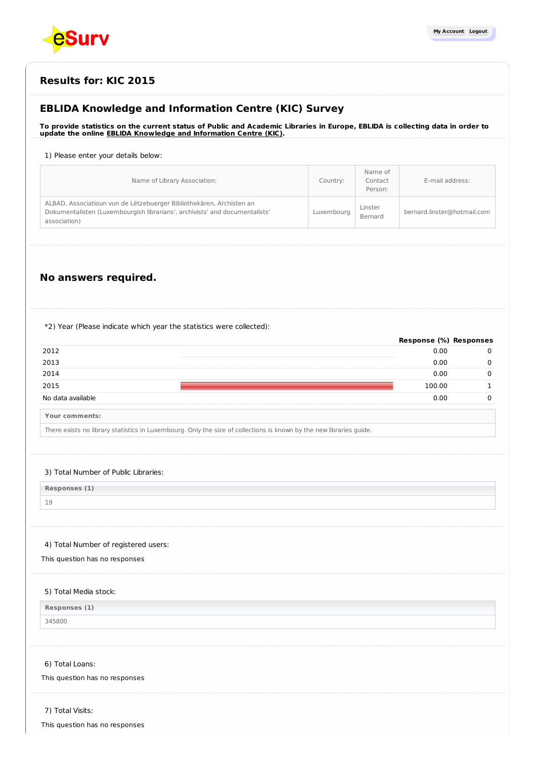

# **Results for: KIC 2015**

# **EBLIDA Knowledge and Information Centre (KIC) Survey**

To provide statistics on the current status of Public and Academic Libraries in Europe, EBLIDA is collecting data in order to **update the online EBLIDA Knowledge and [Information](http://www.eblida.org/activities/kic/) Centre (KIC).**

### 1) Please enter your details below:

| Name of Library Association:                                                                                                                                        | Country:   | Name of<br>Contact<br>Person: | E-mail address:             |
|---------------------------------------------------------------------------------------------------------------------------------------------------------------------|------------|-------------------------------|-----------------------------|
| ALBAD, Associatioun vun de Lëtzebuerger Bibliothekären, Archisten an<br>Dokumentalisten (Luxembourgish librarians', archivists' and documentalists'<br>association) | Luxembourg | Linster<br>Bernard            | bernard.linster@hotmail.com |

# **No answers required.**

### \*2) Year (Please indicate which year the statistics were collected):

|                       | Response (%) Responses |  |
|-----------------------|------------------------|--|
| 2012                  | 0.00                   |  |
| 2013                  | 0.00                   |  |
| 2014                  | 0.00                   |  |
| 2015                  | 100.00                 |  |
| No data available     | 0.00                   |  |
| <b>Your comments:</b> |                        |  |

There exists no library statistics in Luxembourg. Only the size of collections is known by the new libraries guide.

### 3) Total Number of Public Libraries:

| Responses (1) |  |  |
|---------------|--|--|
|               |  |  |

### 4) Total Number of registered users:

This question has no responses

### 5) Total Media stock:

| Responses (1) |
|---------------|
| 345800        |

#### 6) Total Loans:

# This question has no responses

7) Total Visits:

|  |  |  | This question has no responses |
|--|--|--|--------------------------------|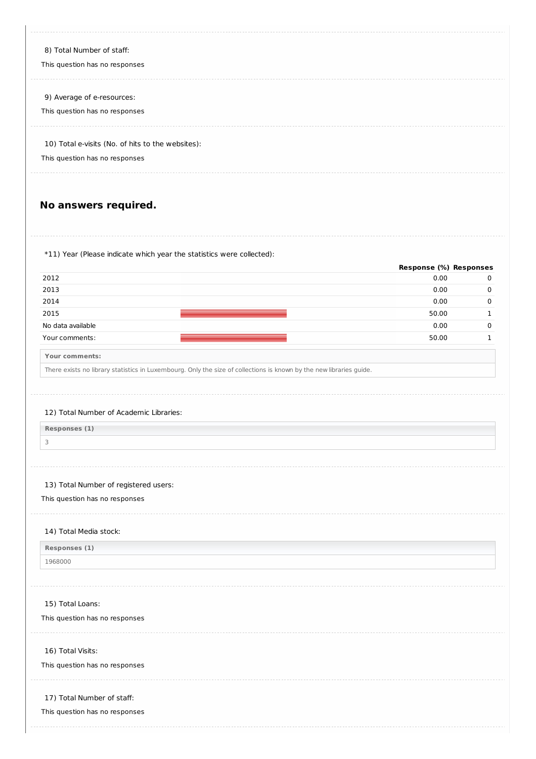| 8) Total Number of staff:                         |
|---------------------------------------------------|
| This question has no responses                    |
|                                                   |
| 9) Average of e-resources:                        |
| This question has no responses                    |
|                                                   |
| 10) Total e-visits (No. of hits to the websites): |
| This question has no responses                    |
|                                                   |
|                                                   |

# **No answers required.**

\*11) Year (Please indicate which year the statistics were collected):

|                   | Response (%) Responses |          |
|-------------------|------------------------|----------|
| 2012              | 0.00                   | 0        |
| 2013              | 0.00                   | $\Omega$ |
| 2014              | 0.00                   | 0        |
| 2015              | 50.00                  |          |
| No data available | 0.00                   | 0        |
| Your comments:    | 50.00                  |          |
|                   |                        |          |

**Your comments:**

There exists no library statistics in Luxembourg. Only the size of collections is known by the new libraries guide.

### 12) Total Number of Academic Libraries:

**Responses (1)**

3

## 13) Total Number of registered users:

This question has no responses

#### 14) Total Media stock:

**Responses (1)**

1968000

### 15) Total Loans:

This question has no responses

#### 16) Total Visits:

This question has no responses

### 17) Total Number of staff:

This question has no responses